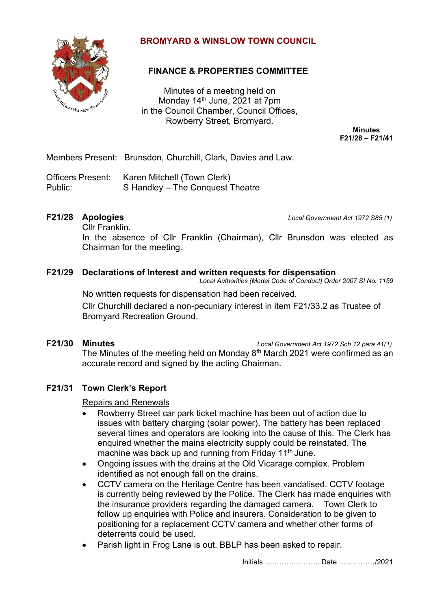

# **BROMYARD & WINSLOW TOWN COUNCIL**

# **FINANCE & PROPERTIES COMMITTEE**

Minutes of a meeting held on Monday 14<sup>th</sup> June, 2021 at 7pm in the Council Chamber, Council Offices, Rowberry Street, Bromyard.

> **Minutes F21/28 – F21/41**

Members Present: Brunsdon, Churchill, Clark, Davies and Law.

Officers Present: Karen Mitchell (Town Clerk) Public: S Handley – The Conquest Theatre

**F21/28 Apologies** *Local Government Act 1972 S85 (1)*

Cllr Franklin.

In the absence of Cllr Franklin (Chairman), Cllr Brunsdon was elected as Chairman for the meeting.

# **F21/29 Declarations of Interest and written requests for dispensation**

*Local Authorities (Model Code of Conduct) Order 2007 SI No. 1159*

No written requests for dispensation had been received. Cllr Churchill declared a non-pecuniary interest in item F21/33.2 as Trustee of Bromyard Recreation Ground.

**F21/30 Minutes** *Local Government Act 1972 Sch 12 para 41(1)*

The Minutes of the meeting held on Monday 8<sup>th</sup> March 2021 were confirmed as an accurate record and signed by the acting Chairman.

# **F21/31 Town Clerk's Report**

### Repairs and Renewals

- Rowberry Street car park ticket machine has been out of action due to issues with battery charging (solar power). The battery has been replaced several times and operators are looking into the cause of this. The Clerk has enquired whether the mains electricity supply could be reinstated. The machine was back up and running from Friday 11<sup>th</sup> June.
- Ongoing issues with the drains at the Old Vicarage complex. Problem identified as not enough fall on the drains.
- CCTV camera on the Heritage Centre has been vandalised. CCTV footage is currently being reviewed by the Police. The Clerk has made enquiries with the insurance providers regarding the damaged camera. Town Clerk to follow up enquiries with Police and insurers. Consideration to be given to positioning for a replacement CCTV camera and whether other forms of deterrents could be used.
- Parish light in Frog Lane is out. BBLP has been asked to repair.

Initials ………………….. Date ……………/2021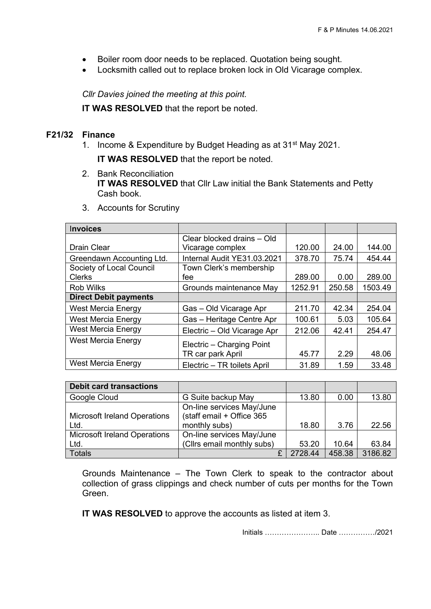- Boiler room door needs to be replaced. Quotation being sought.
- Locksmith called out to replace broken lock in Old Vicarage complex.

*Cllr Davies joined the meeting at this point.* 

**IT WAS RESOLVED** that the report be noted.

## **F21/32 Finance**

1. Income & Expenditure by Budget Heading as at 31<sup>st</sup> May 2021.

**IT WAS RESOLVED** that the report be noted.

2. Bank Reconciliation **IT WAS RESOLVED** that Cllr Law initial the Bank Statements and Petty Cash book.

| <b>Invoices</b>              |                             |         |        |         |
|------------------------------|-----------------------------|---------|--------|---------|
|                              | Clear blocked drains - Old  |         |        |         |
| <b>Drain Clear</b>           | Vicarage complex            | 120.00  | 24.00  | 144.00  |
| Greendawn Accounting Ltd.    | Internal Audit YE31.03.2021 | 378.70  | 75.74  | 454.44  |
| Society of Local Council     | Town Clerk's membership     |         |        |         |
| <b>Clerks</b>                | fee                         | 289.00  | 0.00   | 289.00  |
| <b>Rob Wilks</b>             | Grounds maintenance May     | 1252.91 | 250.58 | 1503.49 |
| <b>Direct Debit payments</b> |                             |         |        |         |
| <b>West Mercia Energy</b>    | Gas - Old Vicarage Apr      | 211.70  | 42.34  | 254.04  |
| <b>West Mercia Energy</b>    | Gas - Heritage Centre Apr   | 100.61  | 5.03   | 105.64  |
| West Mercia Energy           | Electric - Old Vicarage Apr | 212.06  | 42.41  | 254.47  |
| <b>West Mercia Energy</b>    | Electric - Charging Point   |         |        |         |
|                              | TR car park April           | 45.77   | 2.29   | 48.06   |
| <b>West Mercia Energy</b>    | Electric - TR toilets April | 31.89   | 1.59   | 33.48   |

3. Accounts for Scrutiny

| <b>Debit card transactions</b>      |                                                        |         |        |         |
|-------------------------------------|--------------------------------------------------------|---------|--------|---------|
| Google Cloud                        | G Suite backup May                                     | 13.80   | 0.00   | 13.80   |
| <b>Microsoft Ireland Operations</b> | On-line services May/June<br>(staff email + Office 365 |         |        |         |
| Ltd.                                | monthly subs)                                          | 18.80   | 3.76   | 22.56   |
| <b>Microsoft Ireland Operations</b> | On-line services May/June                              |         |        |         |
| Ltd.                                | (Cllrs email monthly subs)                             | 53.20   | 10.64  | 63.84   |
| <b>Totals</b>                       | ₽                                                      | 2728.44 | 458.38 | 3186.82 |

Grounds Maintenance – The Town Clerk to speak to the contractor about collection of grass clippings and check number of cuts per months for the Town Green.

**IT WAS RESOLVED** to approve the accounts as listed at item 3.

Initials ………………….. Date ……………/2021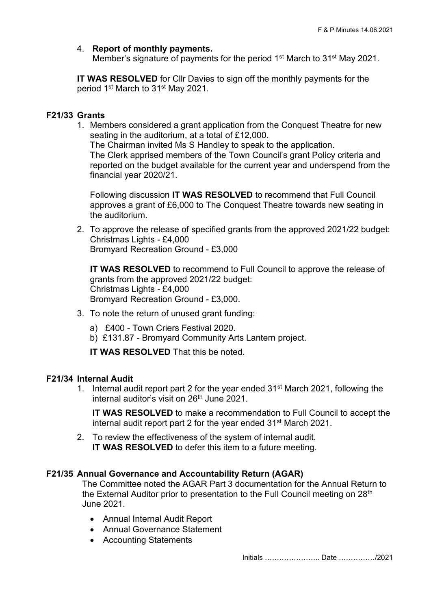## 4. **Report of monthly payments.**

Member's signature of payments for the period 1<sup>st</sup> March to 31<sup>st</sup> May 2021.

**IT WAS RESOLVED** for CIIr Davies to sign off the monthly payments for the period 1st March to 31st May 2021.

### **F21/33 Grants**

1. Members considered a grant application from the Conquest Theatre for new seating in the auditorium, at a total of £12,000.

The Chairman invited Ms S Handley to speak to the application. The Clerk apprised members of the Town Council's grant Policy criteria and reported on the budget available for the current year and underspend from the financial year 2020/21.

Following discussion **IT WAS RESOLVED** to recommend that Full Council approves a grant of £6,000 to The Conquest Theatre towards new seating in the auditorium.

2. To approve the release of specified grants from the approved 2021/22 budget: Christmas Lights - £4,000 Bromyard Recreation Ground - £3,000

**IT WAS RESOLVED** to recommend to Full Council to approve the release of grants from the approved 2021/22 budget: Christmas Lights - £4,000 Bromyard Recreation Ground - £3,000.

- 3. To note the return of unused grant funding:
	- a) £400 Town Criers Festival 2020.
	- b) £131.87 Bromyard Community Arts Lantern project.

**IT WAS RESOLVED** That this be noted.

# **F21/34 Internal Audit**

1. Internal audit report part 2 for the year ended  $31<sup>st</sup>$  March 2021, following the internal auditor's visit on  $26<sup>th</sup>$  June 2021.

**IT WAS RESOLVED** to make a recommendation to Full Council to accept the internal audit report part 2 for the year ended 31st March 2021.

2. To review the effectiveness of the system of internal audit. **IT WAS RESOLVED** to defer this item to a future meeting.

# **F21/35 Annual Governance and Accountability Return (AGAR)**

The Committee noted the AGAR Part 3 documentation for the Annual Return to the External Auditor prior to presentation to the Full Council meeting on 28<sup>th</sup> June 2021.

- Annual Internal Audit Report
- Annual Governance Statement
- Accounting Statements

Initials ………………….. Date ……………/2021